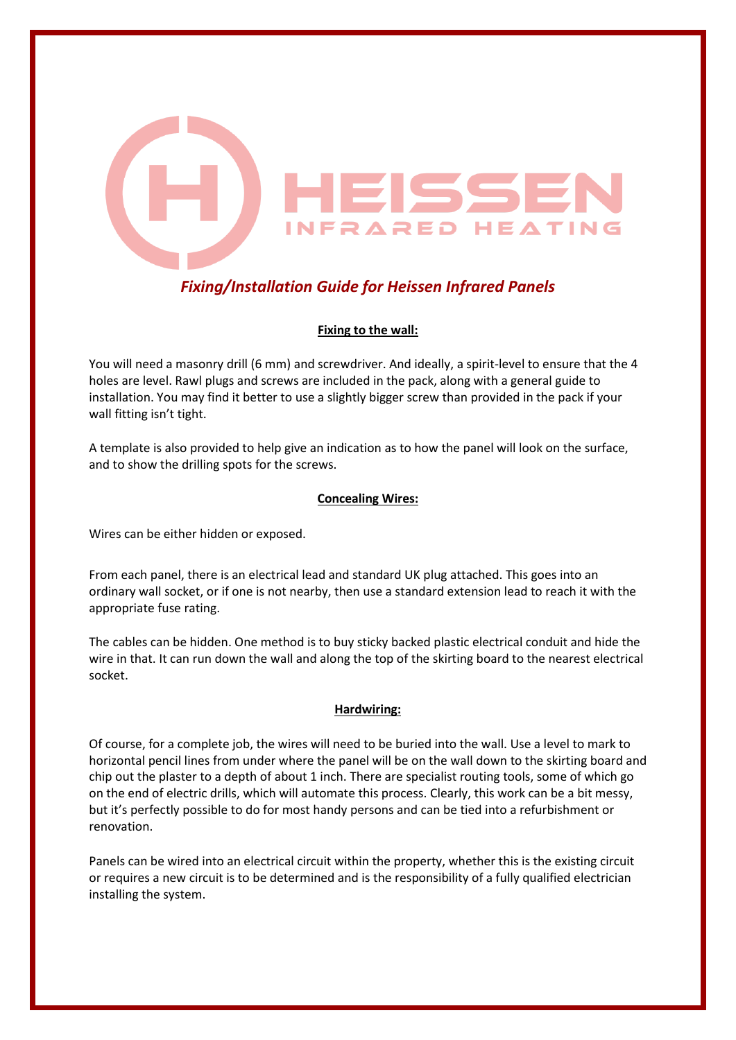

# *Fixing/Installation Guide for Heissen Infrared Panels*

## **Fixing to the wall:**

You will need a masonry drill (6 mm) and screwdriver. And ideally, a spirit-level to ensure that the 4 holes are level. Rawl plugs and screws are included in the pack, along with a general guide to installation. You may find it better to use a slightly bigger screw than provided in the pack if your wall fitting isn't tight.

A template is also provided to help give an indication as to how the panel will look on the surface, and to show the drilling spots for the screws.

### **Concealing Wires:**

Wires can be either hidden or exposed.

From each panel, there is an electrical lead and standard UK plug attached. This goes into an ordinary wall socket, or if one is not nearby, then use a standard extension lead to reach it with the appropriate fuse rating.

The cables can be hidden. One method is to buy sticky backed plastic electrical conduit and hide the wire in that. It can run down the wall and along the top of the skirting board to the nearest electrical socket.

#### **Hardwiring:**

Of course, for a complete job, the wires will need to be buried into the wall. Use a level to mark to horizontal pencil lines from under where the panel will be on the wall down to the skirting board and chip out the plaster to a depth of about 1 inch. There are specialist routing tools, some of which go on the end of electric drills, which will automate this process. Clearly, this work can be a bit messy, but it's perfectly possible to do for most handy persons and can be tied into a refurbishment or renovation.

Panels can be wired into an electrical circuit within the property, whether this is the existing circuit or requires a new circuit is to be determined and is the responsibility of a fully qualified electrician installing the system.